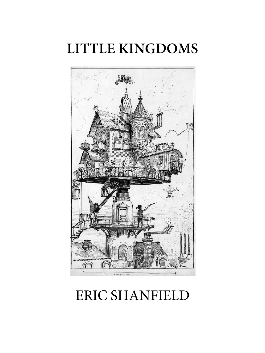# **LITTLE KINGDOMS**



## ERIC SHANFIELD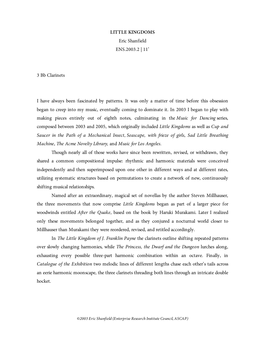## **LITTLE KINGDOMS** Eric Shanfield ENS.2003.2 | 11'

3 Bb Clarinets

I have always been fascinated by patterns. It was only a matter of time before this obsession began to creep into my music, eventually coming to dominate it. In 2003 I began to play with making pieces entirely out of eighth notes, culminating in the *Music for Dancing* series, composed between 2003 and 2005, which originally included *Little Kingdoms* as well as *Cup and Saucer in the Path of a Mechanical Insect*, *Seascape, with frieze of girls*, *Sad Little Breathing Machine*, *The Acme Novelty Library,* and *Music for Los Angeles*.

Though nearly all of those works have since been rewritten, revised, or withdrawn, they shared a common compositional impulse: rhythmic and harmonic materials were conceived independently and then superimposed upon one other in different ways and at different rates, utilizing systematic structures based on permutations to create a network of new, continuously shifting musical relationships.

Named after an extraordinary, magical set of novellas by the author Steven Millhauser, the three movements that now comprise *Little Kingdoms* began as part of a larger piece for woodwinds entitled *After the Quake*, based on the book by Haruki Murakami. Later I realized only these movements belonged together, and as they conjured a nocturnal world closer to Millhauser than Murakami they were reordered, revised, and retitled accordingly.

In *The Little Kingdom of J. Franklin Payne* the clarinets outline shifting repeated patterns over slowly changing harmonies, while *The Princess, the Dwarf and the Dungeon* lurches along, exhausting every possible three-part harmonic combination within an octave. Finally, in *Catalogue of the Exhibition* two melodic lines of different lengths chase each other's tails across an eerie harmonic moonscape, the three clarinets threading both lines through an intricate double hocket.

*©2003 Eric Shanfield (Enterprise Research Institute Council, ASCAP)*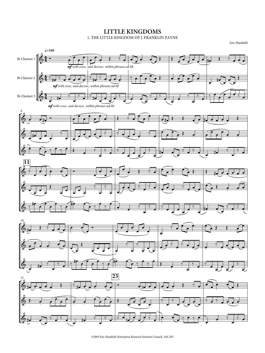### 1. THE LITTLE KINGDOM OF J. FRANKLIN PAYNE **LITTLE KINGDOMS**

Eric Shanfield

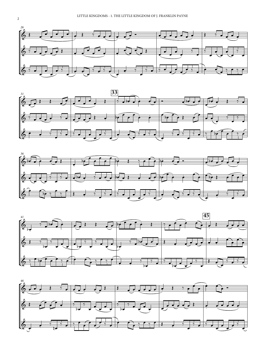







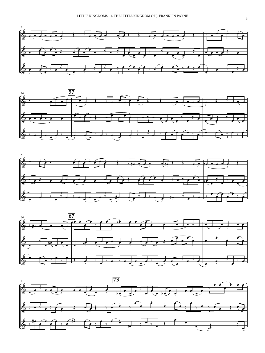







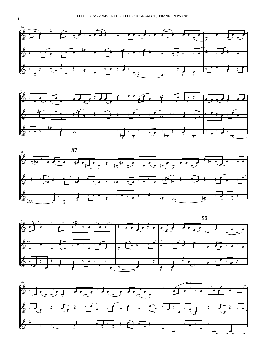







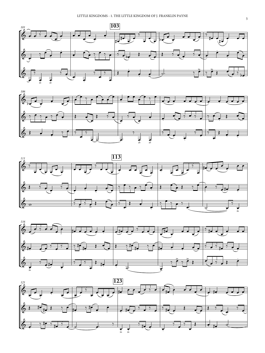







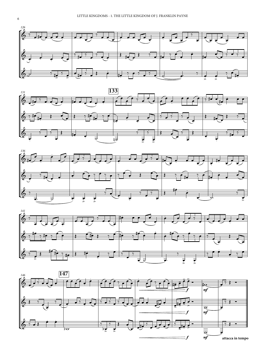







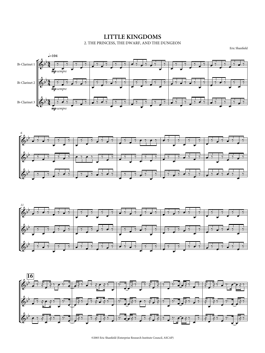### **LITTLE KINGDOMS** 2. THE PRINCESS, THE DWARF, AND THE DUNGEON

Eric Shanfield









©2003 Eric Shanfield (Enterprise Research Institute Council, ASCAP)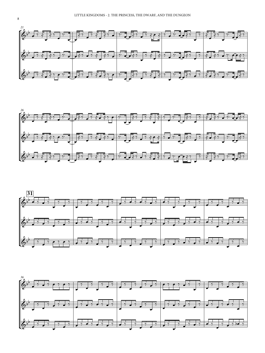



![](_page_9_Figure_3.jpeg)

![](_page_9_Figure_4.jpeg)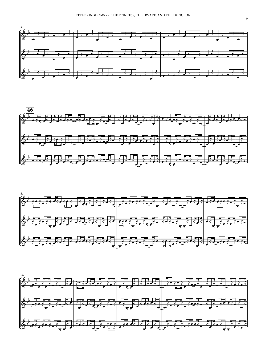![](_page_10_Figure_1.jpeg)

![](_page_10_Figure_2.jpeg)

![](_page_10_Figure_3.jpeg)

![](_page_10_Figure_4.jpeg)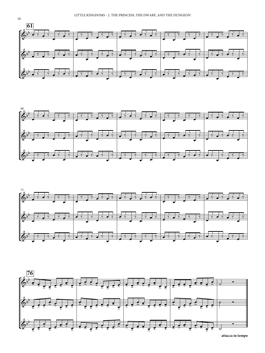![](_page_11_Figure_1.jpeg)

![](_page_11_Figure_2.jpeg)

![](_page_11_Figure_3.jpeg)

![](_page_11_Figure_4.jpeg)

**attacca in tempo**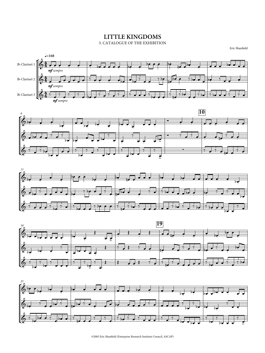**LITTLE KINGDOMS**

3. CATALOGUE OF THE EXHIBITION

Eric Shanfield

![](_page_12_Figure_3.jpeg)

![](_page_12_Figure_4.jpeg)

![](_page_12_Figure_5.jpeg)

![](_page_12_Figure_6.jpeg)

![](_page_12_Figure_7.jpeg)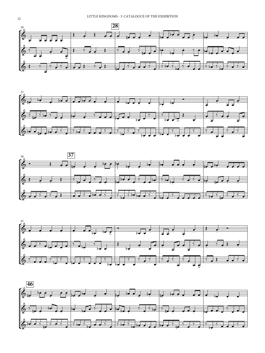![](_page_13_Figure_1.jpeg)

![](_page_13_Figure_2.jpeg)

![](_page_13_Figure_3.jpeg)

![](_page_13_Figure_4.jpeg)

![](_page_13_Figure_5.jpeg)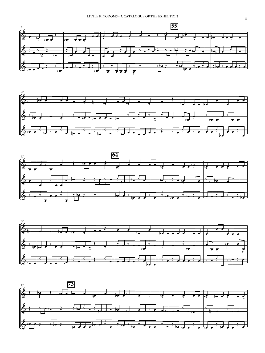![](_page_14_Figure_1.jpeg)

![](_page_14_Figure_2.jpeg)

![](_page_14_Figure_3.jpeg)

![](_page_14_Figure_4.jpeg)

![](_page_14_Figure_5.jpeg)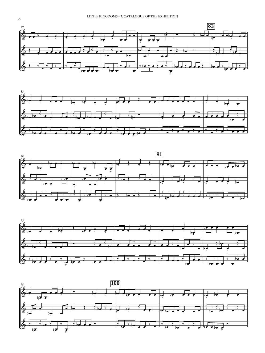![](_page_15_Figure_1.jpeg)

![](_page_15_Figure_2.jpeg)

![](_page_15_Figure_3.jpeg)

![](_page_15_Figure_4.jpeg)

![](_page_15_Figure_5.jpeg)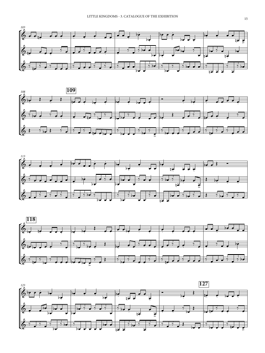![](_page_16_Figure_1.jpeg)

![](_page_16_Figure_2.jpeg)

![](_page_16_Figure_3.jpeg)

![](_page_16_Figure_4.jpeg)

![](_page_16_Figure_5.jpeg)